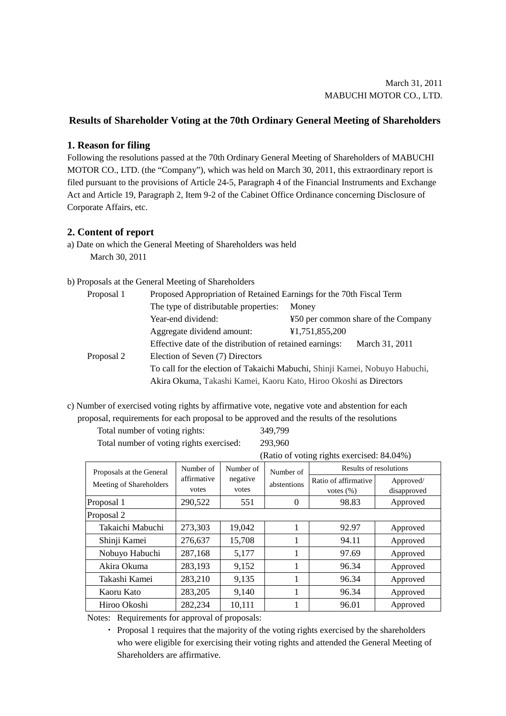## **Results of Shareholder Voting at the 70th Ordinary General Meeting of Shareholders**

## **1. Reason for filing**

Following the resolutions passed at the 70th Ordinary General Meeting of Shareholders of MABUCHI MOTOR CO., LTD. (the "Company"), which was held on March 30, 2011, this extraordinary report is filed pursuant to the provisions of Article 24-5, Paragraph 4 of the Financial Instruments and Exchange Act and Article 19, Paragraph 2, Item 9-2 of the Cabinet Office Ordinance concerning Disclosure of Corporate Affairs, etc.

## **2. Content of report**

a) Date on which the General Meeting of Shareholders was held March 30, 2011

## b) Proposals at the General Meeting of Shareholders

| Proposal 1 | Proposed Appropriation of Retained Earnings for the 70th Fiscal Term        |                                     |  |  |  |
|------------|-----------------------------------------------------------------------------|-------------------------------------|--|--|--|
|            | The type of distributable properties:                                       | Money                               |  |  |  |
|            | Year-end dividend:                                                          | ¥50 per common share of the Company |  |  |  |
|            | Aggregate dividend amount:                                                  | ¥1,751,855,200                      |  |  |  |
|            | Effective date of the distribution of retained earnings:                    | March 31, 2011                      |  |  |  |
| Proposal 2 | Election of Seven (7) Directors                                             |                                     |  |  |  |
|            | To call for the election of Takaichi Mabuchi, Shinji Kamei, Nobuyo Habuchi, |                                     |  |  |  |
|            | Akira Okuma, Takashi Kamei, Kaoru Kato, Hiroo Okoshi as Directors           |                                     |  |  |  |

c) Number of exercised voting rights by affirmative vote, negative vote and abstention for each proposal, requirements for each proposal to be approved and the results of the resolutions

| Total number of voting rights: |  |  |  |  |  |  | 349,799          |
|--------------------------------|--|--|--|--|--|--|------------------|
|                                |  |  |  |  |  |  | $\sim$ 0.00 0.40 |

Total number of voting rights exercised: 293,960

(Ratio of voting rights exercised: 84.04%)

| Proposals at the General | Number of<br>affirmative | Number of<br>negative | Number of<br>abstentions | Results of resolutions |             |  |
|--------------------------|--------------------------|-----------------------|--------------------------|------------------------|-------------|--|
| Meeting of Shareholders  |                          |                       |                          | Ratio of affirmative   | Approved/   |  |
|                          | votes                    | votes                 |                          | votes $(\% )$          | disapproved |  |
| Proposal 1               | 290,522                  | 551                   | $\overline{0}$           | 98.83                  | Approved    |  |
| Proposal 2               |                          |                       |                          |                        |             |  |
| Takaichi Mabuchi         | 273,303                  | 19,042                | 1                        | 92.97                  | Approved    |  |
| Shinji Kamei             | 276,637                  | 15,708                | 1                        | 94.11                  | Approved    |  |
| Nobuyo Habuchi           | 287,168                  | 5,177                 | 1                        | 97.69                  | Approved    |  |
| Akira Okuma              | 283,193                  | 9,152                 |                          | 96.34                  | Approved    |  |
| Takashi Kamei            | 283,210                  | 9,135                 | 1                        | 96.34                  | Approved    |  |
| Kaoru Kato               | 283,205                  | 9,140                 | 1                        | 96.34                  | Approved    |  |
| Hiroo Okoshi             | 282,234                  | 10,111                |                          | 96.01                  | Approved    |  |

Notes: Requirements for approval of proposals:

・ Proposal 1 requires that the majority of the voting rights exercised by the shareholders who were eligible for exercising their voting rights and attended the General Meeting of Shareholders are affirmative.